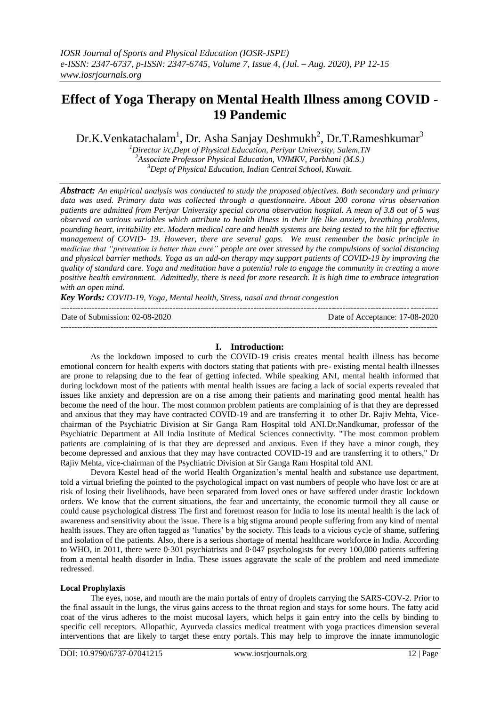# **Effect of Yoga Therapy on Mental Health Illness among COVID - 19 Pandemic**

Dr.K.Venkatachalam<sup>1</sup>, Dr. Asha Sanjay Deshmukh<sup>2</sup>, Dr.T.Rameshkumar<sup>3</sup>

*<sup>1</sup>Director i/c,Dept of Physical Education, Periyar University, Salem,TN <sup>2</sup>Associate Professor Physical Education, VNMKV, Parbhani (M.S.) <sup>3</sup>Dept of Physical Education, Indian Central School, Kuwait.*

*Abstract: An empirical analysis was conducted to study the proposed objectives. Both secondary and primary data was used. Primary data was collected through a questionnaire. About 200 corona virus observation patients are admitted from Periyar University special corona observation hospital. A mean of 3.8 out of 5 was observed on various variables which attribute to health illness in their life like anxiety, breathing problems, pounding heart, irritability etc. Modern medical care and health systems are being tested to the hilt for effective management of COVID- 19. However, there are several gaps. We must remember the basic principle in medicine that "prevention is better than cure" people are over stressed by the compulsions of social distancing and physical barrier methods. Yoga as an add-on therapy may support patients of COVID-19 by improving the quality of standard care. Yoga and meditation have a potential role to engage the community in creating a more positive health environment. Admittedly, there is need for more research. It is high time to embrace integration with an open mind.* 

*Key Words: COVID-19, Yoga, Mental health, Stress, nasal and throat congestion*

| Date of Submission: 02-08-2020 | Date of Acceptance: 17-08-2020 |
|--------------------------------|--------------------------------|
|                                |                                |

# **I. Introduction:**

As the lockdown imposed to curb the COVID-19 crisis creates mental health illness has become emotional concern for health experts with doctors stating that patients with pre- existing mental health illnesses are prone to relapsing due to the fear of getting infected. While speaking ANI, mental health informed that during lockdown most of the patients with mental health issues are facing a lack of social experts revealed that issues like anxiety and depression are on a rise among their patients and marinating good mental health has become the need of the hour. The most common problem patients are complaining of is that they are depressed and anxious that they may have contracted COVID-19 and are transferring it to other Dr. Rajiv Mehta, Vicechairman of the Psychiatric Division at Sir Ganga Ram Hospital told ANI.Dr.Nandkumar, professor of the Psychiatric Department at All India Institute of Medical Sciences connectivity. "The most common problem patients are complaining of is that they are depressed and anxious. Even if they have a minor cough, they become depressed and anxious that they may have contracted COVID-19 and are transferring it to others," Dr Rajiv Mehta, vice-chairman of the Psychiatric Division at Sir Ganga Ram Hospital told ANI.

Devora Kestel head of the world Health Organization"s mental health and substance use department, told a virtual briefing the pointed to the psychological impact on vast numbers of people who have lost or are at risk of losing their livelihoods, have been separated from loved ones or have suffered under drastic lockdown orders. We know that the current situations, the fear and uncertainty, the economic turmoil they all cause or could cause psychological distress The first and foremost reason for India to lose its mental health is the lack of awareness and sensitivity about the issue. There is a big stigma around people suffering from any kind of mental health issues. They are often tagged as "lunatics" by the society. This leads to a vicious cycle of shame, suffering and isolation of the patients. Also, there is a serious shortage of mental healthcare workforce in India. According to WHO, in 2011, there were 0·301 psychiatrists and 0·047 psychologists for every 100,000 patients suffering from a mental health disorder in India. These issues aggravate the scale of the problem and need immediate redressed.

#### **Local Prophylaxis**

The eyes, nose, and mouth are the main portals of entry of droplets carrying the SARS-COV-2. Prior to the final assault in the lungs, the virus gains access to the throat region and stays for some hours. The fatty acid coat of the virus adheres to the moist mucosal layers, which helps it gain entry into the cells by binding to specific cell receptors. Allopathic, Ayurveda classics medical treatment with yoga practices dimension several interventions that are likely to target these entry portals. This may help to improve the innate immunologic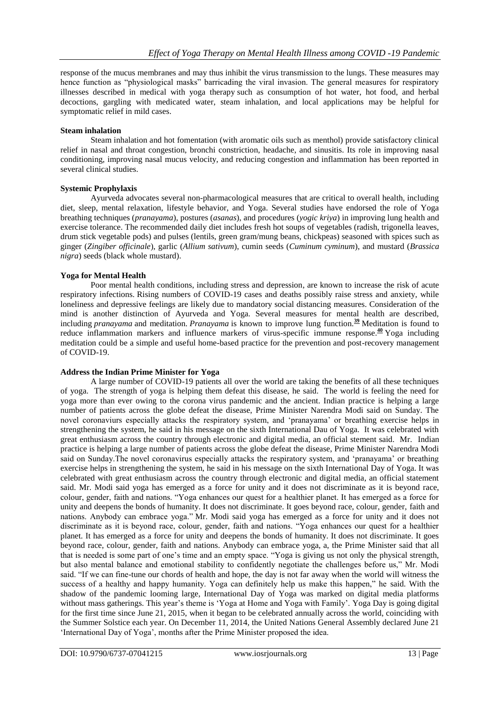response of the mucus membranes and may thus inhibit the virus transmission to the lungs. These measures may hence function as "physiological masks" barricading the viral invasion. The general measures for respiratory illnesses described in medical with yoga therapy such as consumption of hot water, hot food, and herbal decoctions, gargling with medicated water, steam inhalation, and local applications may be helpful for symptomatic relief in mild cases.

#### **Steam inhalation**

Steam inhalation and hot fomentation (with aromatic oils such as menthol) provide satisfactory clinical relief in nasal and throat congestion, bronchi constriction, headache, and sinusitis. Its role in improving nasal conditioning, improving nasal mucus velocity, and reducing congestion and inflammation has been reported in several clinical studies.

# **Systemic Prophylaxis**

Ayurveda advocates several non-pharmacological measures that are critical to overall health, including diet, sleep, mental relaxation, lifestyle behavior, and Yoga. Several studies have endorsed the role of Yoga breathing techniques (*pranayama*), postures (*asanas*), and procedures (*yogic kriya*) in improving lung health and exercise tolerance. The recommended daily diet includes fresh hot soups of vegetables (radish, trigonella leaves, drum stick vegetable pods) and pulses (lentils, green gram/mung beans, chickpeas) seasoned with spices such as ginger (*Zingiber officinale*), garlic (*Allium sativum*), cumin seeds (*Cuminum cyminum*), and mustard (*Brassica nigra*) seeds (black whole mustard).

## **Yoga for Mental Health**

Poor mental health conditions, including stress and depression, are known to increase the risk of acute respiratory infections. Rising numbers of COVID-19 cases and deaths possibly raise stress and anxiety, while loneliness and depressive feelings are likely due to mandatory social distancing measures. Consideration of the mind is another distinction of Ayurveda and Yoga. Several measures for mental health are described, including *pranayama* and meditation. *Pranayama* is known to improve lung function.**[39](https://www.liebertpub.com/doi/10.1089/acm.2020.0129#B39)** Meditation is found to reduce inflammation markers and influence markers of virus-specific immune response.**[40](https://www.liebertpub.com/doi/10.1089/acm.2020.0129#B40)** Yoga including meditation could be a simple and useful home-based practice for the prevention and post-recovery management of COVID-19.

# **Address the Indian Prime Minister for Yoga**

A large number of COVID-19 patients all over the world are taking the benefits of all these techniques of yoga. The strength of yoga is helping them defeat this disease, he said. The world is feeling the need for yoga more than ever owing to the corona virus pandemic and the ancient. Indian practice is helping a large number of patients across the globe defeat the disease, Prime Minister Narendra Modi said on Sunday. The novel coronaviurs especially attacks the respiratory system, and "pranayama" or breathing exercise helps in strengthening the system, he said in his message on the sixth International Dau of Yoga. It was celebrated with great enthusiasm across the country through electronic and digital media, an official stement said. Mr. Indian practice is helping a large number of patients across the globe defeat the disease, Prime Minister Narendra Modi said on Sunday.The novel coronavirus especially attacks the respiratory system, and "pranayama" or breathing exercise helps in strengthening the system, he said in his message on the sixth International Day of Yoga. It was celebrated with great enthusiasm across the country through electronic and digital media, an official statement said. Mr. Modi said yoga has emerged as a force for unity and it does not discriminate as it is beyond race, colour, gender, faith and nations. "Yoga enhances our quest for a healthier planet. It has emerged as a force for unity and deepens the bonds of humanity. It does not discriminate. It goes beyond race, colour, gender, faith and nations. Anybody can embrace yoga." Mr. Modi said yoga has emerged as a force for unity and it does not discriminate as it is beyond race, colour, gender, faith and nations. "Yoga enhances our quest for a healthier planet. It has emerged as a force for unity and deepens the bonds of humanity. It does not discriminate. It goes beyond race, colour, gender, faith and nations. Anybody can embrace yoga, a, the Prime Minister said that all that is needed is some part of one's time and an empty space. "Yoga is giving us not only the physical strength, but also mental balance and emotional stability to confidently negotiate the challenges before us," Mr. Modi said. "If we can fine-tune our chords of health and hope, the day is not far away when the world will witness the success of a healthy and happy humanity. Yoga can definitely help us make this happen," he said. With the shadow of the pandemic looming large, International Day of Yoga was marked on digital media platforms without mass gatherings. This year's theme is 'Yoga at Home and Yoga with Family'. Yoga Day is going digital for the first time since June 21, 2015, when it began to be celebrated annually across the world, coinciding with the Summer Solstice each year. On December 11, 2014, the United Nations General Assembly declared June 21 'International Day of Yoga', months after the Prime Minister proposed the idea.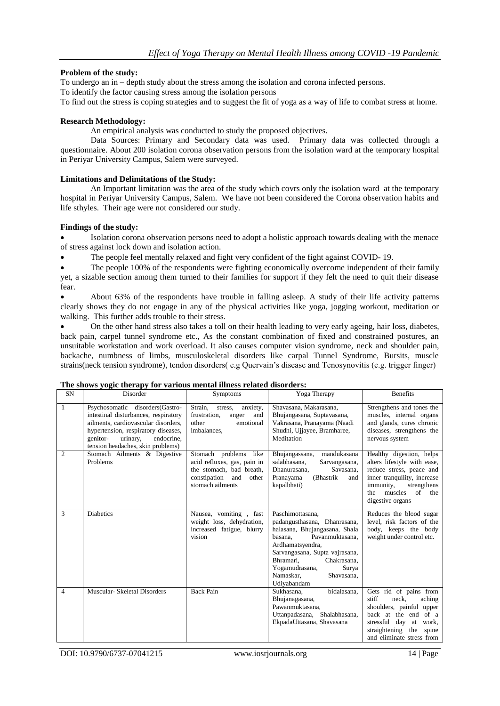#### **Problem of the study:**

To undergo an in – depth study about the stress among the isolation and corona infected persons.

To identify the factor causing stress among the isolation persons

To find out the stress is coping strategies and to suggest the fit of yoga as a way of life to combat stress at home.

#### **Research Methodology:**

An empirical analysis was conducted to study the proposed objectives.

Data Sources: Primary and Secondary data was used. Primary data was collected through a questionnaire. About 200 isolation corona observation persons from the isolation ward at the temporary hospital in Periyar University Campus, Salem were surveyed.

## **Limitations and Delimitations of the Study:**

An Important limitation was the area of the study which covrs only the isolation ward at the temporary hospital in Periyar University Campus, Salem. We have not been considered the Corona observation habits and life sthyles. Their age were not considered our study.

## **Findings of the study:**

 Isolation corona observation persons need to adopt a holistic approach towards dealing with the menace of stress against lock down and isolation action.

The people feel mentally relaxed and fight very confident of the fight against COVID- 19.

 The people 100% of the respondents were fighting economically overcome independent of their family yet, a sizable section among them turned to their families for support if they felt the need to quit their disease fear.

 About 63% of the respondents have trouble in falling asleep. A study of their life activity patterns clearly shows they do not engage in any of the physical activities like yoga, jogging workout, meditation or walking. This further adds trouble to their stress.

 On the other hand stress also takes a toll on their health leading to very early ageing, hair loss, diabetes, back pain, carpel tunnel syndrome etc., As the constant combination of fixed and constrained postures, an unsuitable workstation and work overload. It also causes computer vision syndrome, neck and shoulder pain, backache, numbness of limbs, musculoskeletal disorders like carpal Tunnel Syndrome, Bursits, muscle strains(neck tension syndrome), tendon disorders( e.g Quervain"s disease and Tenosynovitis (e.g. trigger finger)

|                | The shows yogic therapy for various memal miless related uisorders.                                                                                                                                                              |                                                                                                                                         |                                                                                                                                                                                                                                                                        |                                                                                                                                                                                                      |  |  |  |
|----------------|----------------------------------------------------------------------------------------------------------------------------------------------------------------------------------------------------------------------------------|-----------------------------------------------------------------------------------------------------------------------------------------|------------------------------------------------------------------------------------------------------------------------------------------------------------------------------------------------------------------------------------------------------------------------|------------------------------------------------------------------------------------------------------------------------------------------------------------------------------------------------------|--|--|--|
| <b>SN</b>      | Disorder                                                                                                                                                                                                                         | Symptoms                                                                                                                                | Yoga Therapy                                                                                                                                                                                                                                                           | <b>Benefits</b>                                                                                                                                                                                      |  |  |  |
| $\mathbf{1}$   | Psychosomatic disorders(Gastro-<br>intestinal disturbances, respiratory<br>ailments, cardiovascular disorders,<br>hypertension, respiratory diseases,<br>urinary,<br>endocrine.<br>genitor-<br>tension headaches, skin problems) | Strain.<br>stress,<br>anxiety,<br>frustration.<br>and<br>anger<br>emotional<br>other<br>imbalances.                                     | Shavasana, Makarasana,<br>Bhujangasana, Suptavasana,<br>Vakrasana, Pranayama (Naadi<br>Shudhi, Ujjayee, Bramharee,<br>Meditation                                                                                                                                       | Strengthens and tones the<br>muscles, internal organs<br>and glands, cures chronic<br>diseases, strengthens the<br>nervous system                                                                    |  |  |  |
| $\overline{c}$ | Stomach Ailments & Digestive<br>Problems                                                                                                                                                                                         | Stomach problems<br>like<br>acid refluxes, gas, pain in<br>the stomach, bad breath,<br>constipation<br>and<br>other<br>stomach ailments | mandukasana<br>Bhujangassana,<br>salabhasana.<br>Sarvangasana,<br>Dhanurasana.<br>Savasana,<br>(Bhastrik)<br>Pranayama<br>and<br>kapalbhati)                                                                                                                           | Healthy digestion, helps<br>alters lifestyle with ease,<br>reduce stress, peace and<br>inner tranquility, increase<br>immunity,<br>strengthens<br>muscles<br>of<br>the<br>the<br>digestive organs    |  |  |  |
| 3              | <b>Diabetics</b>                                                                                                                                                                                                                 | Nausea, vomiting, fast<br>weight loss, dehydration,<br>increased fatigue, blurry<br>vision                                              | Paschimottasana.<br>padangusthasana, Dhanrasana,<br>halasana, Bhujangasana, Shala<br>Pavanmuktasana.<br>basana.<br>Ardhamatsyendra,<br>Sarvangasana, Supta vajrasana,<br>Bhramari.<br>Chakrasana.<br>Yogamudrasana,<br>Surya<br>Namaskar.<br>Shavasana,<br>Udiyabandam | Reduces the blood sugar<br>level, risk factors of the<br>body, keeps the body<br>weight under control etc.                                                                                           |  |  |  |
| $\overline{4}$ | Muscular- Skeletal Disorders                                                                                                                                                                                                     | <b>Back Pain</b>                                                                                                                        | bidalasana.<br>Sukhasana.<br>Bhujanagasana,<br>Pawanmuktasana.<br>Uttanpadasana, Shalabhasana,<br>EkpadaUttasana, Shavasana                                                                                                                                            | Gets rid of pains from<br>stiff<br>neck,<br>aching<br>shoulders, painful upper<br>back at the end<br>of a<br>stressful day at<br>work,<br>straightening<br>the<br>spine<br>and eliminate stress from |  |  |  |

## **The shows yogic therapy for various mental illness related disorders:**